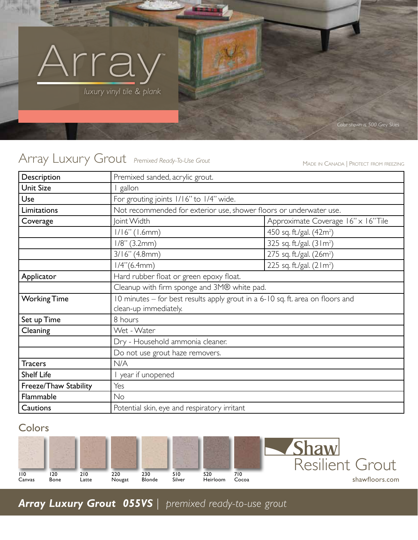

# Array Luxury Grout *Premixed Ready-To-Use Grout* MADE IN CANADA | PROTECT FROM FREEZING

| Description           | Premixed sanded, acrylic grout.                                                                         |                                      |
|-----------------------|---------------------------------------------------------------------------------------------------------|--------------------------------------|
| <b>Unit Size</b>      | gallon                                                                                                  |                                      |
| Use                   | For grouting joints 1/16" to 1/4" wide.                                                                 |                                      |
| Limitations           | Not recommended for exterior use, shower floors or underwater use.                                      |                                      |
| Coverage              | Joint Width                                                                                             | Approximate Coverage 16" x 16" Tile  |
|                       | $1/16"$ (1.6mm)                                                                                         | 450 sq. ft./gal. (42m <sup>2</sup> ) |
|                       | $1/8$ " (3.2mm)                                                                                         | 325 sq. ft./gal. (31m <sup>2</sup> ) |
|                       | $3/16''$ (4.8mm)                                                                                        | 275 sq. ft./gal. (26m <sup>2</sup> ) |
|                       | $1/4$ "(6.4mm)                                                                                          | 225 sq. ft./gal. (21m <sup>2</sup> ) |
| Applicator            | Hard rubber float or green epoxy float.                                                                 |                                      |
|                       | Cleanup with firm sponge and 3M® white pad.                                                             |                                      |
| <b>Working Time</b>   | 10 minutes – for best results apply grout in a 6-10 sq. ft. area on floors and<br>clean-up immediately. |                                      |
|                       |                                                                                                         |                                      |
| Set up Time           | 8 hours                                                                                                 |                                      |
| Cleaning              | Wet - Water                                                                                             |                                      |
|                       | Dry - Household ammonia cleaner.                                                                        |                                      |
|                       | Do not use grout haze removers.                                                                         |                                      |
| <b>Tracers</b>        | N/A                                                                                                     |                                      |
| <b>Shelf Life</b>     | year if unopened                                                                                        |                                      |
| Freeze/Thaw Stability | Yes                                                                                                     |                                      |
| Flammable             | <b>No</b>                                                                                               |                                      |
| Cautions              | Potential skin, eye and respiratory irritant                                                            |                                      |

## **Colors**



*Array Luxury Grout 055VS | premixed ready-to-use grout*